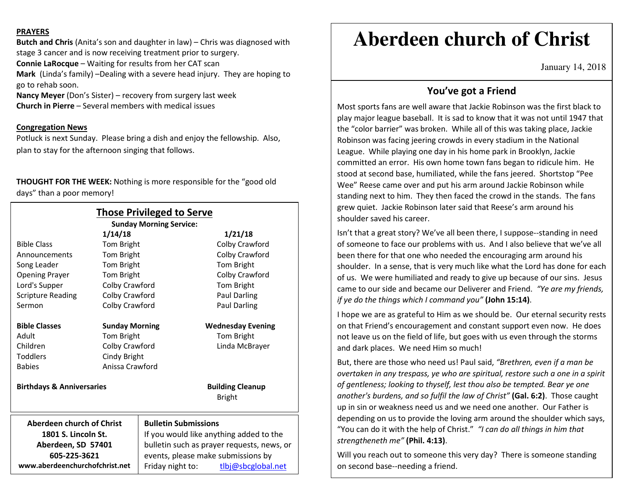## **PRAYERS**

**Butch and Chris** (Anita's son and daughter in law) – Chris was diagnosed with stage 3 cancer and is now receiving treatment prior to surgery. **Connie LaRocque** – Waiting for results from her CAT scan **Mark** (Linda's family) –Dealing with a severe head injury. They are hoping to go to rehab soon.

**Nancy Meyer** (Don's Sister) – recovery from surgery last week **Church in Pierre** – Several members with medical issues

## **Congregation News**

 Potluck is next Sunday. Please bring a dish and enjoy the fellowship. Also, plan to stay for the afternoon singing that follows.

**THOUGHT FOR THE WEEK:** Nothing is more responsible for the "good old days" than a poor memory!

|                                      |                                                                                                                             | <b>Those Privileged to Serve</b><br><b>Sunday Morning Service:</b> |                    |                          |
|--------------------------------------|-----------------------------------------------------------------------------------------------------------------------------|--------------------------------------------------------------------|--------------------|--------------------------|
|                                      |                                                                                                                             |                                                                    | 1/21/18            |                          |
| <b>Bible Class</b>                   | Tom Bright                                                                                                                  |                                                                    |                    | Colby Crawford           |
| Announcements                        | Tom Bright                                                                                                                  |                                                                    |                    | Colby Crawford           |
| Song Leader                          | Tom Bright                                                                                                                  |                                                                    |                    | Tom Bright               |
| <b>Opening Prayer</b>                | Tom Bright                                                                                                                  |                                                                    |                    | Colby Crawford           |
| Lord's Supper                        | Colby Crawford                                                                                                              |                                                                    |                    | Tom Bright               |
| <b>Scripture Reading</b>             | Colby Crawford                                                                                                              |                                                                    |                    | <b>Paul Darling</b>      |
| Sermon                               | Colby Crawford                                                                                                              |                                                                    |                    | Paul Darling             |
| <b>Bible Classes</b>                 | <b>Sunday Morning</b>                                                                                                       |                                                                    |                    | <b>Wednesday Evening</b> |
| Adult                                | Tom Bright                                                                                                                  |                                                                    |                    | Tom Bright               |
| Children                             | Colby Crawford                                                                                                              |                                                                    |                    | Linda McBrayer           |
| <b>Toddlers</b>                      | Cindy Bright                                                                                                                |                                                                    |                    |                          |
| <b>Babies</b>                        | Anissa Crawford                                                                                                             |                                                                    |                    |                          |
| <b>Birthdays &amp; Anniversaries</b> | <b>Building Cleanup</b>                                                                                                     |                                                                    |                    |                          |
|                                      |                                                                                                                             |                                                                    |                    | <b>Bright</b>            |
| Aberdeen church of Christ            |                                                                                                                             | <b>Bulletin Submissions</b>                                        |                    |                          |
| 1801 S. Lincoln St.                  | If you would like anything added to the<br>bulletin such as prayer requests, news, or<br>events, please make submissions by |                                                                    |                    |                          |
| Aberdeen, SD 57401                   |                                                                                                                             |                                                                    |                    |                          |
| 605-225-3621                         |                                                                                                                             |                                                                    |                    |                          |
| www.aberdeenchurchofchrist.net       | Friday night to:                                                                                                            |                                                                    | tlbj@sbcglobal.net |                          |

# **Aberdeen church of Christ**

January 14, 2018

## **You've got a Friend**

Most sports fans are well aware that Jackie Robinson was the first black to play major league baseball. It is sad to know that it was not until 1947 that the "color barrier" was broken. While all of this was taking place, Jackie Robinson was facing jeering crowds in every stadium in the National League. While playing one day in his home park in Brooklyn, Jackie committed an error. His own home town fans began to ridicule him. He stood at second base, humiliated, while the fans jeered. Shortstop "Pee Wee" Reese came over and put his arm around Jackie Robinson while standing next to him. They then faced the crowd in the stands. The fans grew quiet. Jackie Robinson later said that Reese's arm around his shoulder saved his career.

Isn't that a great story? We've all been there, I suppose--standing in need of someone to face our problems with us. And I also believe that we've all been there for that one who needed the encouraging arm around his shoulder. In a sense, that is very much like what the Lord has done for each of us. We were humiliated and ready to give up because of our sins. Jesus came to our side and became our Deliverer and Friend. *"Ye are my friends, if ye do the things which I command you"* **(John 15:14)**.

I hope we are as grateful to Him as we should be. Our eternal security rests on that Friend's encouragement and constant support even now. He does not leave us on the field of life, but goes with us even through the storms and dark places. We need Him so much!

But, there are those who need us! Paul said, *"Brethren, even if a man be overtaken in any trespass, ye who are spiritual, restore such a one in a spirit of gentleness; looking to thyself, lest thou also be tempted. Bear ye one another's burdens, and so fulfil the law of Christ"* **(Gal. 6:2)**. Those caught up in sin or weakness need us and we need one another. Our Father is depending on us to provide the loving arm around the shoulder which says, "You can do it with the help of Christ." *"I can do all things in him that strengtheneth me"* **(Phil. 4:13)**.

Will you reach out to someone this very day? There is someone standing on second base--needing a friend.